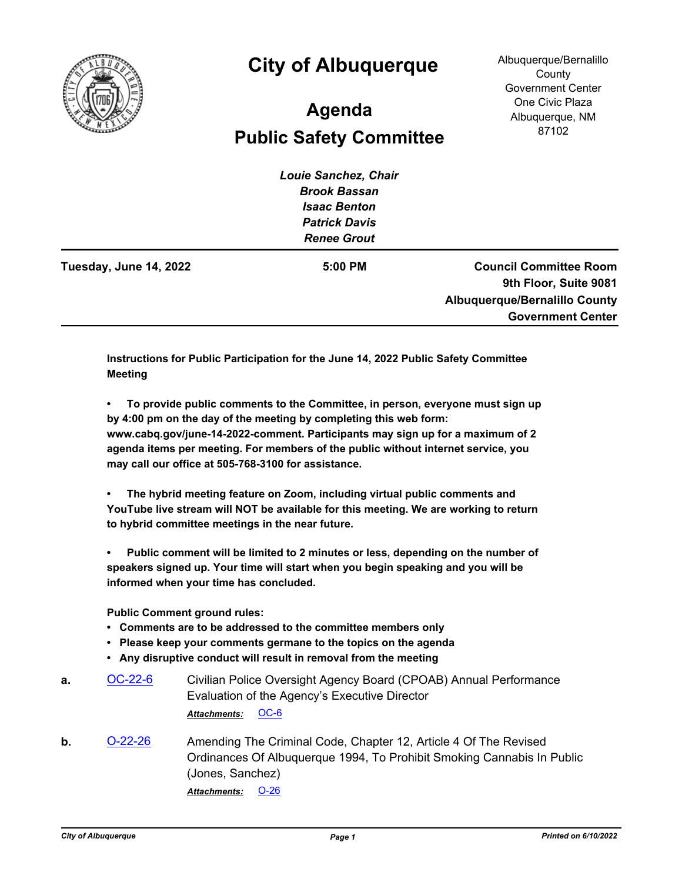

## **City of Albuquerque**

Albuquerque/Bernalillo **County** Government Center One Civic Plaza Albuquerque, NM 87102

## **Public Safety Committee Agenda**

| Louie Sanchez, Chair |                                      |
|----------------------|--------------------------------------|
| <b>Brook Bassan</b>  |                                      |
| <b>Isaac Benton</b>  |                                      |
| <b>Patrick Davis</b> |                                      |
| <b>Renee Grout</b>   |                                      |
| 5:00 PM              | <b>Council Committee Room</b>        |
|                      | 9th Floor, Suite 9081                |
|                      | <b>Albuquerque/Bernalillo County</b> |
|                      | <b>Government Center</b>             |
|                      |                                      |

**Instructions for Public Participation for the June 14, 2022 Public Safety Committee Meeting**

**• To provide public comments to the Committee, in person, everyone must sign up by 4:00 pm on the day of the meeting by completing this web form: www.cabq.gov/june-14-2022-comment. Participants may sign up for a maximum of 2 agenda items per meeting. For members of the public without internet service, you may call our office at 505-768-3100 for assistance.**

**• The hybrid meeting feature on Zoom, including virtual public comments and YouTube live stream will NOT be available for this meeting. We are working to return to hybrid committee meetings in the near future.**

**• Public comment will be limited to 2 minutes or less, depending on the number of speakers signed up. Your time will start when you begin speaking and you will be informed when your time has concluded.**

**Public Comment ground rules:**

- **Comments are to be addressed to the committee members only**
- **Please keep your comments germane to the topics on the agenda**
- **Any disruptive conduct will result in removal from the meeting**
- **a.** [OC-22-6](http://cabq.legistar.com/gateway.aspx?m=l&id=/matter.aspx?key=12855) Civilian Police Oversight Agency Board (CPOAB) Annual Performance Evaluation of the Agency's Executive Director *Attachments:* [OC-6](http://cabq.legistar.com/gateway.aspx?M=F&ID=e48bc832-963e-4b87-b6d6-ccf4c5d2c655.pdf)
- **b.** [O-22-26](http://cabq.legistar.com/gateway.aspx?m=l&id=/matter.aspx?key=12923) Amending The Criminal Code, Chapter 12, Article 4 Of The Revised Ordinances Of Albuquerque 1994, To Prohibit Smoking Cannabis In Public (Jones, Sanchez) *Attachments:* [O-26](http://cabq.legistar.com/gateway.aspx?M=F&ID=ae697153-9d7c-42bd-85c8-44a308047a1e.pdf)